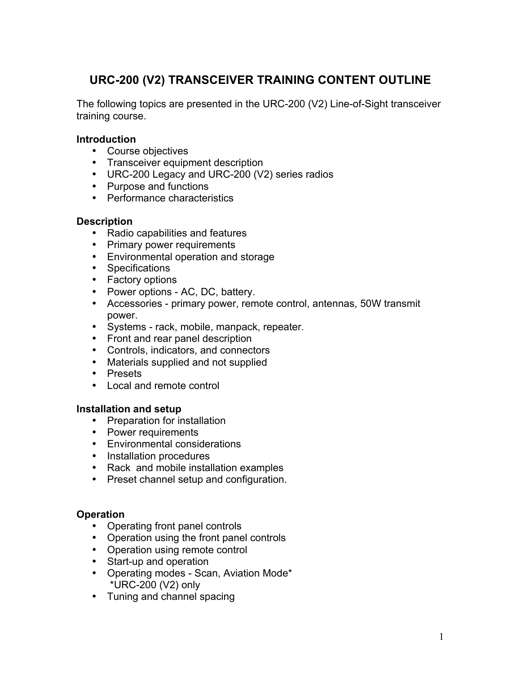# **URC-200 (V2) TRANSCEIVER TRAINING CONTENT OUTLINE**

The following topics are presented in the URC-200 (V2) Line-of-Sight transceiver training course.

## **Introduction**

- Course objectives
- Transceiver equipment description
- URC-200 Legacy and URC-200 (V2) series radios
- Purpose and functions
- Performance characteristics

## **Description**

- Radio capabilities and features
- Primary power requirements
- Environmental operation and storage
- Specifications
- Factory options
- Power options AC, DC, battery.
- Accessories primary power, remote control, antennas, 50W transmit power.
- Systems rack, mobile, manpack, repeater.
- Front and rear panel description
- Controls, indicators, and connectors
- Materials supplied and not supplied
- Presets
- Local and remote control

### **Installation and setup**

- Preparation for installation
- Power requirements
- Environmental considerations
- Installation procedures
- Rack and mobile installation examples
- Preset channel setup and configuration.

### **Operation**

- Operating front panel controls
- Operation using the front panel controls
- Operation using remote control
- Start-up and operation
- Operating modes Scan, Aviation Mode\* \*URC-200 (V2) only
- Tuning and channel spacing